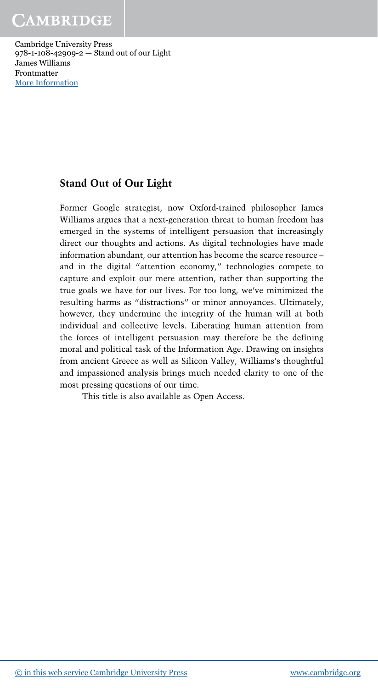#### **Stand Out of Our Light**

Former Google strategist, now Oxford-trained philosopher James Williams argues that a next-generation threat to human freedom has emerged in the systems of intelligent persuasion that increasingly direct our thoughts and actions. As digital technologies have made information abundant, our attention has become the scarce resource – and in the digital "attention economy," technologies compete to capture and exploit our mere attention, rather than supporting the true goals we have for our lives. For too long, we've minimized the resulting harms as "distractions" or minor annoyances. Ultimately, however, they undermine the integrity of the human will at both individual and collective levels. Liberating human attention from the forces of intelligent persuasion may therefore be the defining moral and political task of the Information Age. Drawing on insights from ancient Greece as well as Silicon Valley, Williams's thoughtful and impassioned analysis brings much needed clarity to one of the most pressing questions of our time.

This title is also available as Open Access.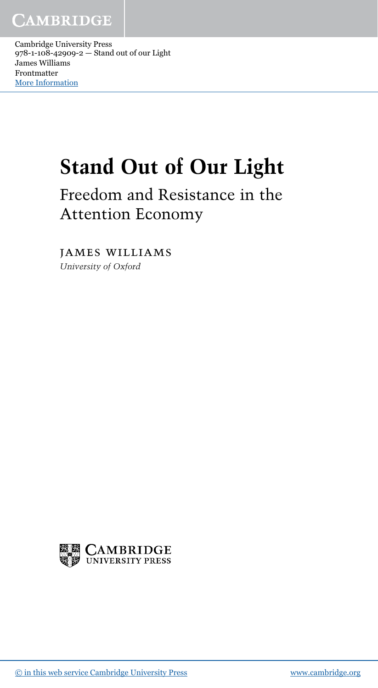# **Stand Out of Our Light**

Freedom and Resistance in the Attention Economy

**JAMES WILLIAMS** *University of Oxford*

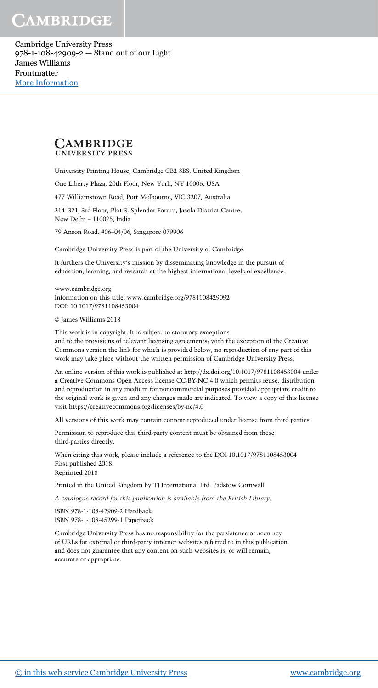#### **CAMBRIDGE** UNIVERSITY PRESS

University Printing House, Cambridge CB2 8BS, United Kingdom

One Liberty Plaza, 20th Floor, New York, NY 10006, USA

477 Williamstown Road, Port Melbourne, VIC 3207, Australia

314–321, 3rd Floor, Plot 3, Splendor Forum, Jasola District Centre, New Delhi – 110025, India

79 Anson Road, #06–04/06, Singapore 079906

Cambridge University Press is part of the University of Cambridge.

It furthers the University's mission by disseminating knowledge in the pursuit of education, learning, and research at the highest international levels of excellence.

www.cambridge.org Information on this title: www.cambridge.org/9781108429092 DOI: 10.1017/9781108453004

© James Williams 2018

This work is in copyright. It is subject to statutory exceptions and to the provisions of relevant licensing agreements; with the exception of the Creative Commons version the link for which is provided below, no reproduction of any part of this work may take place without the written permission of Cambridge University Press.

An online version of this work is published at http://dx.doi.org/10.1017/9781108453004 under a Creative Commons Open Access license CC-BY-NC 4.0 which permits reuse, distribution and reproduction in any medium for noncommercial purposes provided appropriate credit to the original work is given and any changes made are indicated. To view a copy of this license visit https://creativecommons.org/licenses/by-nc/4.0

All versions of this work may contain content reproduced under license from third parties.

Permission to reproduce this third-party content must be obtained from these third-parties directly.

When citing this work, please include a reference to the DOI 10.1017/9781108453004 First published 2018 Reprinted 2018

Printed in the United Kingdom by TJ International Ltd. Padstow Cornwall

A catalogue record for this publication is available from the British Library.

ISBN 978-1-108-42909-2 Hardback ISBN 978-1-108-45299-1 Paperback

Cambridge University Press has no responsibility for the persistence or accuracy of URLs for external or third-party internet websites referred to in this publication and does not guarantee that any content on such websites is, or will remain, accurate or appropriate.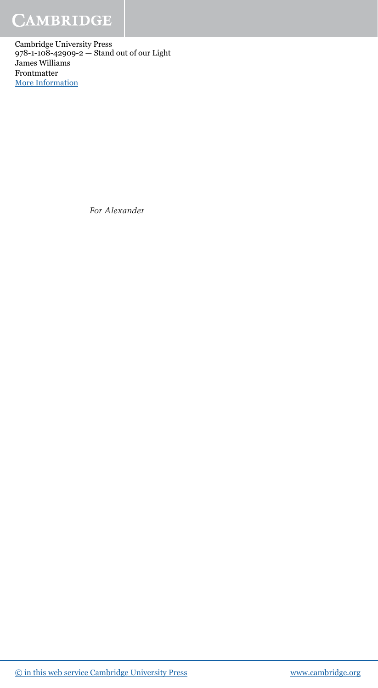Cambridge University Press 978-1-108-42909-2 — Stand out of our Light James Williams Frontmatter [More Information](www.cambridge.org/9781108429092)

*For Alexander*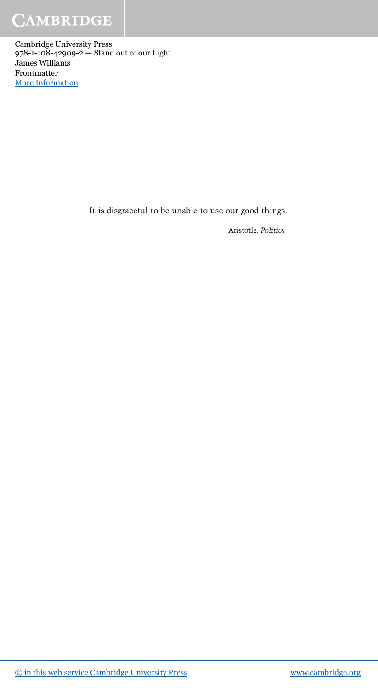Cambridge University Press 978-1-108-42909-2 — Stand out of our Light James Williams Frontmatter [More Information](www.cambridge.org/9781108429092)

It is disgraceful to be unable to use our good things.

Aristotle, *Politics*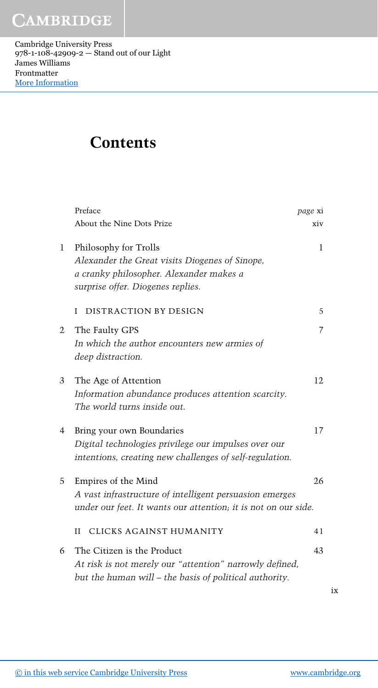#### Contents

|              | Preface                                                                                                                                                 | page xi |
|--------------|---------------------------------------------------------------------------------------------------------------------------------------------------------|---------|
|              | About the Nine Dots Prize                                                                                                                               | xiv     |
| $\mathbf{1}$ | Philosophy for Trolls<br>Alexander the Great visits Diogenes of Sinope,<br>a cranky philosopher. Alexander makes a<br>surprise offer. Diogenes replies. | 1       |
|              | DISTRACTION BY DESIGN<br>L                                                                                                                              | 5       |
| 2            | The Faulty GPS<br>In which the author encounters new armies of<br>deep distraction.                                                                     | 7       |
| 3            | The Age of Attention<br>Information abundance produces attention scarcity.<br>The world turns inside out.                                               | 12      |
| 4            | Bring your own Boundaries<br>Digital technologies privilege our impulses over our<br>intentions, creating new challenges of self-regulation.            | 17      |
| 5            | Empires of the Mind<br>A vast infrastructure of intelligent persuasion emerges<br>under our feet. It wants our attention; it is not on our side.        | 26      |
|              | CLICKS AGAINST HUMANITY<br>H                                                                                                                            | 41      |
| 6            | The Citizen is the Product<br>At risk is not merely our "attention" narrowly defined,<br>but the human will – the basis of political authority.         | 43      |

ix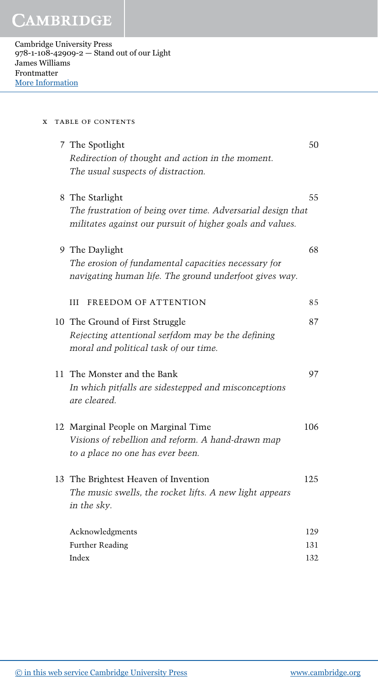#### X TABLE OF CONTENTS

|  | 7 The Spotlight<br>Redirection of thought and action in the moment.<br>The usual suspects of distraction.                                   | 50  |
|--|---------------------------------------------------------------------------------------------------------------------------------------------|-----|
|  | 8 The Starlight<br>The frustration of being over time. Adversarial design that<br>militates against our pursuit of higher goals and values. | 55  |
|  | 9 The Daylight<br>The erosion of fundamental capacities necessary for<br>navigating human life. The ground underfoot gives way.             | 68  |
|  | Ш<br>FREEDOM OF ATTENTION                                                                                                                   | 85  |
|  | 10 The Ground of First Struggle<br>Rejecting attentional serfdom may be the defining<br>moral and political task of our time.               | 87  |
|  | 11 The Monster and the Bank<br>In which pitfalls are sidestepped and misconceptions<br>are cleared.                                         | 97  |
|  | 12 Marginal People on Marginal Time<br>Visions of rebellion and reform. A hand-drawn map<br>to a place no one has ever been.                | 106 |
|  | 13 The Brightest Heaven of Invention<br>The music swells, the rocket lifts. A new light appears<br>in the sky.                              | 125 |
|  | Acknowledgments                                                                                                                             | 129 |
|  | Further Reading                                                                                                                             | 131 |
|  | Index                                                                                                                                       | 132 |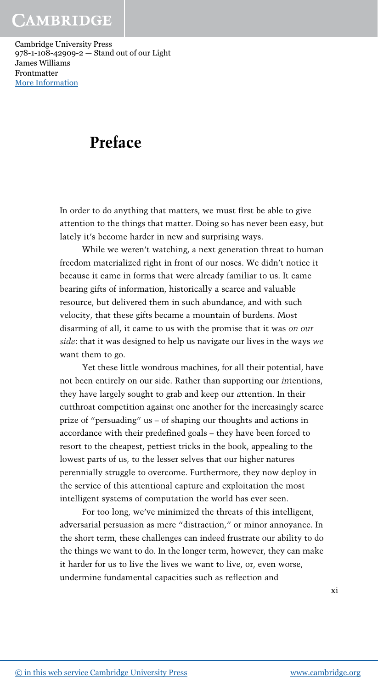### **Preface**

In order to do anything that matters, we must first be able to give attention to the things that matter. Doing so has never been easy, but lately it's become harder in new and surprising ways.

While we weren't watching, a next generation threat to human freedom materialized right in front of our noses. We didn't notice it because it came in forms that were already familiar to us. It came bearing gifts of information, historically a scarce and valuable resource, but delivered them in such abundance, and with such velocity, that these gifts became a mountain of burdens. Most disarming of all, it came to us with the promise that it was *on our side*: that it was designed to help us navigate our lives in the ways *we* want them to go.

Yet these little wondrous machines, for all their potential, have not been entirely on our side. Rather than supporting our *in*tentions, they have largely sought to grab and keep our *a*ttention. In their cutthroat competition against one another for the increasingly scarce prize of "persuading" us – of shaping our thoughts and actions in accordance with their predefined goals – they have been forced to resort to the cheapest, pettiest tricks in the book, appealing to the lowest parts of us, to the lesser selves that our higher natures perennially struggle to overcome. Furthermore, they now deploy in the service of this attentional capture and exploitation the most intelligent systems of computation the world has ever seen.

For too long, we've minimized the threats of this intelligent, adversarial persuasion as mere "distraction," or minor annoyance. In the short term, these challenges can indeed frustrate our ability to do the things we want to do. In the longer term, however, they can make it harder for us to live the lives we want to live, or, even worse, undermine fundamental capacities such as reflection and

xi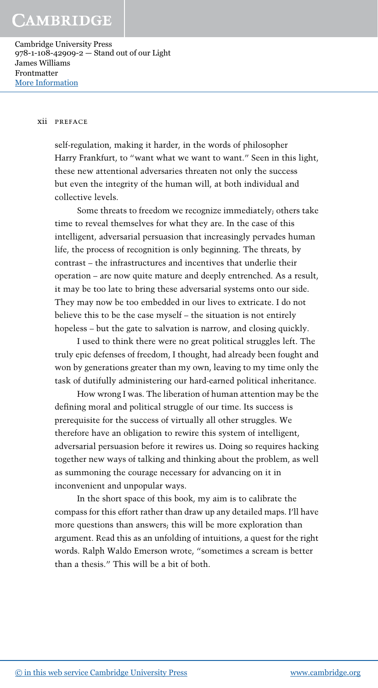Cambridge University Press 978-1-108-42909-2 — Stand out of our Light James Williams Frontmatter [More Information](www.cambridge.org/9781108429092)

#### xii

self-regulation, making it harder, in the words of philosopher Harry Frankfurt, to "want what we want to want." Seen in this light, these new attentional adversaries threaten not only the success but even the integrity of the human will, at both individual and collective levels.

Some threats to freedom we recognize immediately; others take time to reveal themselves for what they are. In the case of this intelligent, adversarial persuasion that increasingly pervades human life, the process of recognition is only beginning. The threats, by contrast – the infrastructures and incentives that underlie their operation – are now quite mature and deeply entrenched. As a result, it may be too late to bring these adversarial systems onto our side. They may now be too embedded in our lives to extricate. I do not believe this to be the case myself – the situation is not entirely hopeless – but the gate to salvation is narrow, and closing quickly.

I used to think there were no great political struggles left. The truly epic defenses of freedom, I thought, had already been fought and won by generations greater than my own, leaving to my time only the task of dutifully administering our hard-earned political inheritance.

How wrong I was. The liberation of human attention may be the defining moral and political struggle of our time. Its success is prerequisite for the success of virtually all other struggles. We therefore have an obligation to rewire this system of intelligent, adversarial persuasion before it rewires us. Doing so requires hacking together new ways of talking and thinking about the problem, as well as summoning the courage necessary for advancing on it in inconvenient and unpopular ways.

In the short space of this book, my aim is to calibrate the compass for this effort rather than draw up any detailed maps. I'll have more questions than answers; this will be more exploration than argument. Read this as an unfolding of intuitions, a quest for the right words. Ralph Waldo Emerson wrote, "sometimes a scream is better than a thesis." This will be a bit of both.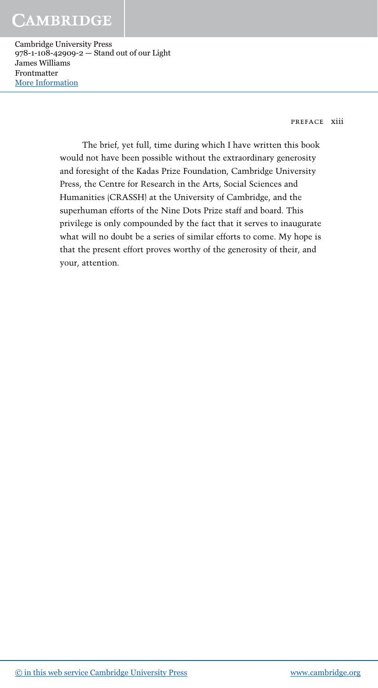Cambridge University Press 978-1-108-42909-2 — Stand out of our Light James Williams Frontmatter [More Information](www.cambridge.org/9781108429092)

#### PREFACE xiii

The brief, yet full, time during which I have written this book would not have been possible without the extraordinary generosity and foresight of the Kadas Prize Foundation, Cambridge University Press, the Centre for Research in the Arts, Social Sciences and Humanities (CRASSH) at the University of Cambridge, and the superhuman efforts of the Nine Dots Prize staff and board. This privilege is only compounded by the fact that it serves to inaugurate what will no doubt be a series of similar efforts to come. My hope is that the present effort proves worthy of the generosity of their, and your, attention.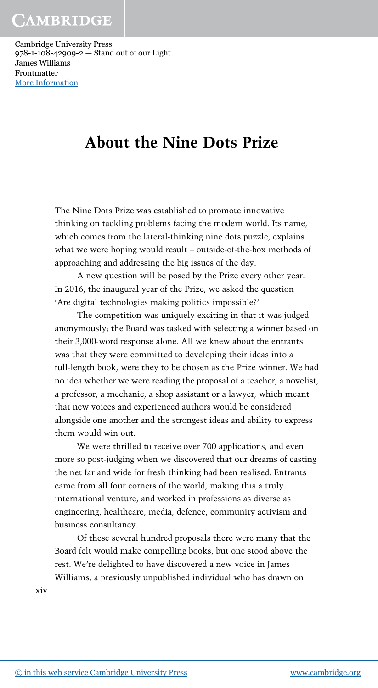## About the Nine Dots Prize

The Nine Dots Prize was established to promote innovative thinking on tackling problems facing the modern world. Its name, which comes from the lateral-thinking nine dots puzzle, explains what we were hoping would result – outside-of-the-box methods of approaching and addressing the big issues of the day.

A new question will be posed by the Prize every other year. In 2016, the inaugural year of the Prize, we asked the question 'Are digital technologies making politics impossible?'

The competition was uniquely exciting in that it was judged anonymously; the Board was tasked with selecting a winner based on their 3,000-word response alone. All we knew about the entrants was that they were committed to developing their ideas into a full-length book, were they to be chosen as the Prize winner. We had no idea whether we were reading the proposal of a teacher, a novelist, a professor, a mechanic, a shop assistant or a lawyer, which meant that new voices and experienced authors would be considered alongside one another and the strongest ideas and ability to express them would win out.

We were thrilled to receive over 700 applications, and even more so post-judging when we discovered that our dreams of casting the net far and wide for fresh thinking had been realised. Entrants came from all four corners of the world, making this a truly international venture, and worked in professions as diverse as engineering, healthcare, media, defence, community activism and business consultancy.

Of these several hundred proposals there were many that the Board felt would make compelling books, but one stood above the rest. We're delighted to have discovered a new voice in James Williams, a previously unpublished individual who has drawn on